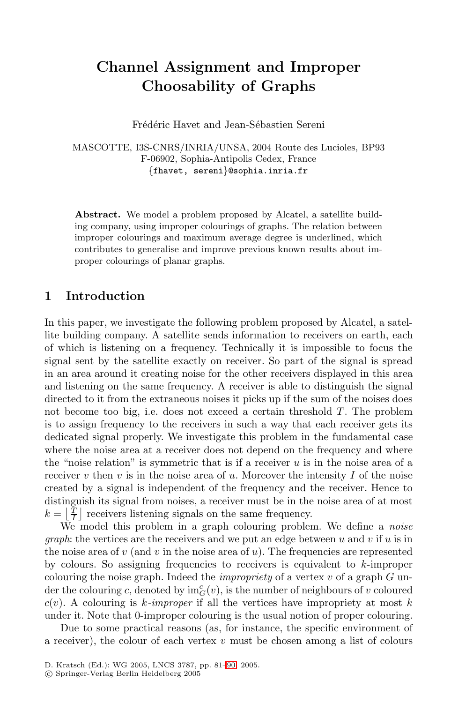# **Channel Assignment and Improper Choosability of Graphs**

Frédéric Havet and Jean-Sébastien Sereni

MASCOTTE, I3S-CNRS/INRIA/UNSA, 2004 Route des Lucioles, BP93 F-06902, Sophia-Antipolis Cedex, France *{*fhavet, sereni*}*@sophia.inria.fr

**Abstract.** We model a problem proposed by Alcatel, a satellite building company, using improper colourings of graphs. The relation between improper colourings and maximum average degree is underlined, which contributes to generalise and improve previous known results about improper colourings of planar graphs.

## **1 Introduction**

In this paper, we investigate the following problem proposed by Alcatel, a satellite building company. A satellite sends information to receivers on earth, each of which is listening on a frequency. Technically it is impossible to focus the signal sent by the satellite exactly on receiver. So part of the signal is spread in an area around it creating noise for the other receivers displayed in this area and listening on the same frequency. A receiver is able to distinguish the signal directed to it from the extraneous noises it picks up if the sum of the noises does not become too big, i.e. does not exceed a certain threshold  $T$ . The problem is to assign frequency to the receivers in such a way that each receiver gets its dedicated signal properly. We investigate this problem in the fundamental case where the noise area at a receiver does not depend on the frequency and where the "noise relation" is symmetric that is if a receiver  $u$  is in the noise area of a receiver  $v$  then  $v$  is in the noise area of  $u$ . Moreover the intensity  $I$  of the noise created by a signal is independent of the frequency and the receiver. Hence to distinguish its signal from noises, a receiver must be in the noise area of at most  $k = \left\lfloor \frac{T}{I} \right\rfloor$  receivers listening signals on the same frequency.

We model this problem in a graph colouring problem. We define a *noise graph*: the vertices are the receivers and we put an edge between u and v if u is in the noise area of  $v$  (and  $v$  in the noise area of  $u$ ). The frequencies are represented by colours. So assigning frequencies to receivers is equivalent to  $k$ -improper colouring the noise [gra](#page-8-0)ph. Indeed the *impropriety* of a vertex v of a graph G under the colouring c, denoted by  $\text{im}_G^c(v)$ , is the number of neighbours of v coloured  $c(v)$ . A colouring is *k*-*improper* if all the vertices have impropriety at most k under it. Note that 0-improper colouring is the usual notion of proper colouring.

Due to some practical reasons (as, for instance, the specific environment of a receiver), the colour of each vertex  $v$  must be chosen among a list of colours

D. Kratsch (Ed.): WG 2005, LNCS 3787, pp. 81–90, 2005.

c Springer-Verlag Berlin Heidelberg 2005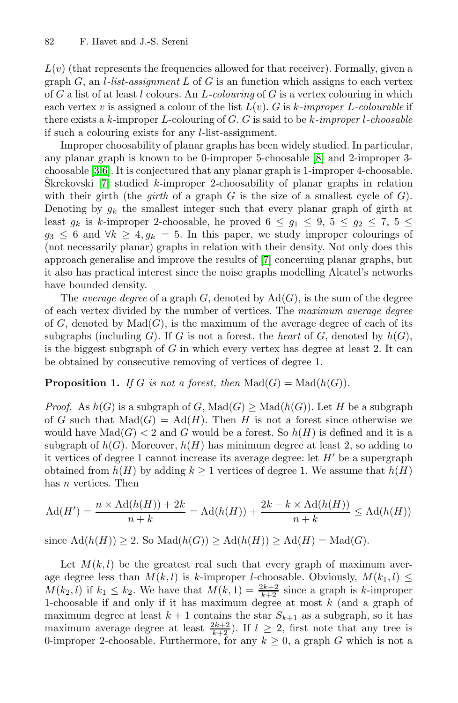$L(v)$  (that represents the frequencies all[ow](#page-9-0)ed for that receiver). Formally, given a graph G, an l*-list-assignment* L of G is an function which assigns to each vertex of G a list of at least l colours. An L*-colouring* of G is a vertex colouring in which each vertex v is assigned a colour of the list L(v). G is k*-improper* L*-colourable* if there exists a k-improper L-colouring of G. G is said to be k*-improper* l*-choosable* if such a colouring exists for any l-list-assignment.

Improper choosability of planar graphs has been widely studied. In particular, any planar graph is known to be 0-improper 5-choosable [8] and 2-improper 3 choosable [3,6]. It is conjectu[re](#page-9-1)d that any planar graph is 1-improper 4-choosable.  $\text{S}$ krekovski [7] studied *k*-improper 2-choosability of planar graphs in relation with their girth (the *girth* of a graph  $G$  is the size of a smallest cycle of  $G$ ). Denoting by  $g_k$  the smallest integer such that every planar graph of girth at least  $g_k$  is k-improper 2-choosable, he proved  $6 \leq g_1 \leq 9, 5 \leq g_2 \leq 7, 5 \leq$  $g_3 \leq 6$  and  $\forall k \geq 4, g_k = 5$ . In this paper, we study improper colourings of (not necessarily planar) graphs in relation with their density. Not only does this approach generalise and improve the results of [7] concerning planar graphs, but it also has practical interest since the noise graphs modelling Alcatel's networks have bounded density.

The *average degree* of a graph  $G$ , denoted by  $Ad(G)$ , is the sum of the degree of each vertex divided by the number of vertices. The *maximum average degree* of  $G$ , denoted by  $\text{Mad}(G)$ , is the maximum of the average degree of each of its subgraphs (including G). If G is not a forest, the *heart* of G, denoted by  $h(G)$ , is the biggest subgraph of  $G$  in which every vertex has degree at least 2. It can be obtained by consecutive removing of vertices of degree 1.

## **Proposition 1.** *If* G *is not a forest, then*  $\text{Mad}(G) = \text{Mad}(h(G))$ *.*

*Proof.* As  $h(G)$  is a subgraph of G, Mad $(G)$  > Mad $(h(G))$ . Let H be a subgraph of G such that  $\text{Mad}(G) = \text{Ad}(H)$ . Then H is not a forest since otherwise we would have  $\text{Mad}(G) < 2$  and G would be a forest. So  $h(H)$  is defined and it is a subgraph of  $h(G)$ . Moreover,  $h(H)$  has minimum degree at least 2, so adding to it vertices of degree 1 cannot increase its average degree: let  $H'$  be a supergraph obtained from  $h(H)$  by adding  $k \geq 1$  vertices of degree 1. We assume that  $h(H)$ has *n* vertices. Then

$$
\mathrm{Ad}(H') = \frac{n \times \mathrm{Ad}(h(H)) + 2k}{n+k} = \mathrm{Ad}(h(H)) + \frac{2k - k \times \mathrm{Ad}(h(H))}{n+k} \le \mathrm{Ad}(h(H))
$$

since  $\text{Ad}(h(H)) > 2$ . So  $\text{Mad}(h(G)) > \text{Ad}(h(H)) > \text{Ad}(H) = \text{Mad}(G)$ .

Let  $M(k, l)$  be the greatest real such that every graph of maximum average degree less than  $M(k, l)$  is k-improper l-choosable. Obviously,  $M(k_1, l) \leq$  $M(k_2, l)$  if  $k_1 \leq k_2$ . We have that  $M(k, 1) = \frac{2k+2}{k+2}$  since a graph is k-improper 1-choosable if and only if it has maximum degree at most  $k$  (and a graph of maximum degree at least  $k + 1$  contains the star  $S_{k+1}$  as a subgraph, so it has maximum average degree at least  $\frac{2k+2}{k+2}$ . If  $l \geq 2$ , first note that any tree is 0-improper 2-choosable. Furthermore, for any  $k \geq 0$ , a graph G which is not a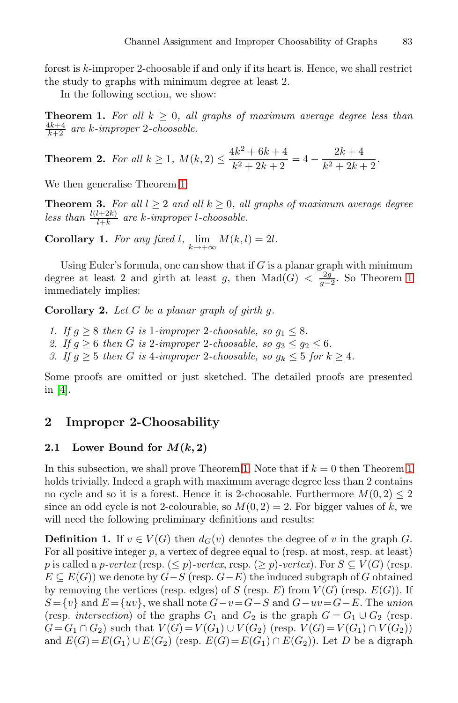<span id="page-2-1"></span><span id="page-2-0"></span>forest is k-improper 2-choosable if and only if its heart is. Hence, we shall restrict the study to graphs with minimum degree at least 2.

In the [fo](#page-2-0)llowing section, we show:

**Theorem 1.** For all  $k \geq 0$ , all graphs of maximum average degree less than  $\frac{4k+4}{k+2}$  are k-improper 2-choosable.

**Theorem 2.** For all  $k \geq 1$ ,  $M(k, 2) \leq \frac{4k^2 + 6k + 4}{12 + 2k + 2}$  $\frac{4k^2 + 6k + 4}{k^2 + 2k + 2} = 4 - \frac{2k + 4}{k^2 + 2k + 2}.$ 

We then generalise Theorem 1:

**Theorem 3.** *For all*  $l \geq 2$  *and all*  $k \geq 0$ *, all graphs of maximum average degree* less than  $\frac{l(l+2k)}{l+k}$  are k-improper l-choosable.

**Corollary 1.** For any fixed l,  $\lim_{k \to +\infty} M(k,l) = 2l$ .

Using Euler's formula, one can show that if  $G$  is a planar graph with minimum degree at least 2 and girth at least g, then Mad( $G$ ) <  $\frac{2g}{g-2}$ . So Theorem 1 immediately implies:

**Corollary 2.** *Let* G *be a planar graph of girth* g*.*

*1.* If  $g \geq 8$  then G is 1-improper 2-choosable, so  $g_1 \leq 8$ . 2. If  $g \geq 6$  then G is 2*-improper* 2*-choosable, so*  $g_3 \leq g_2 \leq 6$ *. 3.* If  $g \geq 5$  then G is 4-improper 2-choosable, so  $g_k \leq 5$  for  $k \geq 4$ .

Some proofs are omitt[ed](#page-2-0) or just sketched. The detailed [pr](#page-2-0)oofs are presented in [4].

## **2 Improper 2-Choosability**

#### **2.1** Lower Bound for  $M(k, 2)$

In this subsection, we shall prove Theorem 1. Note that if  $k = 0$  then Theorem 1 holds trivially. Indeed a graph with maximum average degree less than 2 contains no cycle and so it is a forest. Hence it is 2-choosable. Furthermore  $M(0, 2) \leq 2$ since an odd cycle is not 2-colourable, so  $M(0, 2) = 2$ . For bigger values of k, we will need the following preliminary definitions and results:

**Definition 1.** If  $v \in V(G)$  then  $d_G(v)$  denotes the degree of v in the graph G. For all positive integer  $p$ , a vertex of degree equal to (resp. at most, resp. at least) p is called a p-vertex (resp.  $(\leq p)$ -vertex, resp.  $(\geq p)$ -vertex). For  $S \subseteq V(G)$  (resp.  $E \subseteq E(G)$ ) we denote by  $G-S$  (resp.  $G-E$ ) the induced subgraph of G obtained by removing the vertices (resp. edges) of S (resp. E) from  $V(G)$  (resp.  $E(G)$ ). If  $S = \{v\}$  and  $E = \{uv\}$ , we shall note  $G - v = G - S$  and  $G - uv = G - E$ . The *union* (resp. *intersection*) of the graphs  $G_1$  and  $G_2$  is the graph  $G = G_1 \cup G_2$  (resp.  $G = G_1 \cap G_2$  such that  $V(G) = V(G_1) \cup V(G_2)$  (resp.  $V(G) = V(G_1) \cap V(G_2)$ ) and  $E(G)=E(G_1) \cup E(G_2)$  (resp.  $E(G)=E(G_1) \cap E(G_2)$ ). Let D be a digraph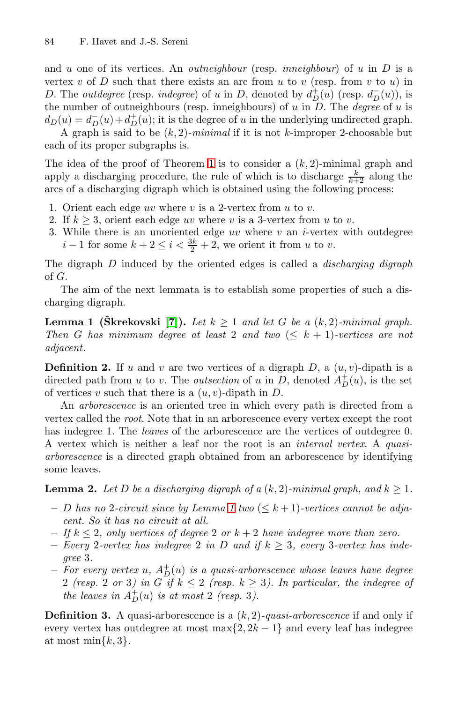and u one of it[s v](#page-2-0)ertices. An *outneighbour* (resp. *inneighbour*) of u in D is a vertex  $v$  of  $D$  such that there exists an arc from  $u$  to  $v$  (resp. from  $v$  to  $u$ ) in D. The *outdegree* (resp. *indegree*) of u in D, denoted by  $d_D^+(u)$  (resp.  $d_D^-(u)$ ), is the number of outneighbours (resp. inneighbours) of u in D. The *degree* of u is  $d_D(u) = d_D^-(u) + d_D^+(u)$ ; it is the degree of u in the underlying undirected graph. A graph is said to be (k, 2)*-minimal* if it is not k-improper 2-choosable but

each of its proper subgraphs is.

The idea of the proof of Theorem 1 is to consider a  $(k, 2)$ -minimal graph and apply a discharging procedure, the rule of which is to discharge  $\frac{k}{k+2}$  along the arcs of a discharging digraph which is obtained using the following process:

- 1. Orient each edge uv where v is a 2-vertex from u to v.
- <span id="page-3-0"></span>2. If  $k \geq 3$ , orient each edge uv where v is a 3-vertex from u to v.
- 3. Wh[ile](#page-9-1) there is an unoriented edge  $uv$  where  $v$  an  $i$ -vertex with outdegree  $i-1$  for some  $k+2 \leq i < \frac{3k}{2}+2$ , we orient it from u to v.

The digraph D induced by the oriented edges is called a *discharging digraph* of G.

The aim of the next lemmata is to establish some properties of such a discharging digraph.

**Lemma 1 (Škrekovski [7]).** Let  $k \geq 1$  and let G be a  $(k, 2)$ -minimal graph. *Then* G has minimum degree at least 2 and two  $(\leq k + 1)$ -vertices are not *adjacent.*

<span id="page-3-1"></span>**Definition 2.** If u and v are two vertices of a digraph  $D$ , a  $(u, v)$ -dipath is a directed path from u to v. The *outsection* of u in D, denoted  $A_D^+(u)$ , is the set of vertices v such that there is a  $(u, v)$ -dipath in D.

An *arborescence* is an oriented tree in which every path is directed from a vertex called the *root*[.](#page-3-0) Note that in an arborescence every vertex except the root has indegree 1. The *leaves* of the arborescence are the vertices of outdegree 0. A vertex which is neither a leaf nor the root is an *internal vertex*. A *quasiarborescence* is a directed graph obtained from an arborescence by identifying some leaves.

**Lemma 2.** Let D be a discharging digraph of a  $(k, 2)$ -minimal graph, and  $k > 1$ .

- $-$  *D* has no 2-circuit since by Lemma 1 two  $(\leq k+1)$ -vertices cannot be adja*cent. So it has no circuit at all.*
- $-I f k \leq 2$ , only vertices of degree 2 or  $k + 2$  have indegree more than zero.
- $-$  *Every* 2-vertex has indegree 2 in D and if  $k \geq 3$ , every 3-vertex has inde*gree* 3*.*
- $-$  *For every vertex*  $u$ ,  $A_D^+(u)$  *is a quasi-arborescence whose leaves have degree* 2 *(resp.* 2 *or* 3*)* in G if  $k \leq 2$  *(resp.*  $k \geq 3$ *). In particular, the indegree of the leaves in*  $A_D^+(u)$  *is at most* 2 *(resp.* 3*)*.

**Definition 3.** A quasi-arborescence is a (k, 2)*-quasi-arborescence* if and only if every vertex has outdegree at most max $\{2, 2k - 1\}$  and every leaf has indegree at most min $\{k, 3\}.$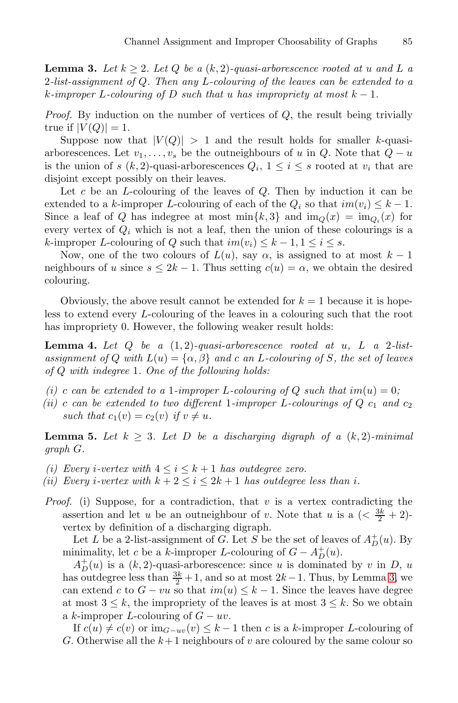<span id="page-4-0"></span>**Lemma 3.** Let  $k \geq 2$ . Let Q be a  $(k, 2)$ -quasi-arborescence rooted at u and L a 2*-list-assignment of* Q*. Then any* L*-colouring of the leaves can be extended to a*  $k$ -improper  $L$ -colouring of  $D$  *such that* u has impropriety at most  $k - 1$ .

*Proof.* By induction on the number of vertices of Q, the result being trivially true if  $|V(Q)| = 1$ .

Suppose now that  $|V(Q)| > 1$  and the result holds for smaller k-quasiarborescences. Let  $v_1, \ldots, v_s$  be the outneighbours of u in Q. Note that  $Q - u$ is the union of s  $(k, 2)$ -quasi-arborescences  $Q_i$ ,  $1 \leq i \leq s$  rooted at  $v_i$  that are disjoint except possibly on their leaves.

Let  $c$  be an  $L$ -colouring of the leaves of  $Q$ . Then by induction it can be extended to a k-improper L-colouring of each of the  $Q_i$  so that  $im(v_i) \leq k - 1$ . Since a leaf of Q has indegree at most  $\min\{k, 3\}$  and  $\text{im}_Q(x) = \text{im}_{Q_i}(x)$  for every vertex of Q*<sup>i</sup>* which is not a leaf, then the union of these colourings is a k-improper L-colouring of Q such that  $im(v_i) \leq k - 1, 1 \leq i \leq s$ .

<span id="page-4-2"></span>Now, one of the two colours of  $L(u)$ , say  $\alpha$ , is assigned to at most  $k-1$ neighbours of u since  $s \leq 2k - 1$ . Thus setting  $c(u) = \alpha$ , we obtain the desired colouring.

Obviously, the above result cannot be extended for  $k = 1$  because it is hopeless to extend every L-colouring of the leaves in a colouring such that the root has impropriety 0. However, the following weaker result holds:

<span id="page-4-1"></span>**Lemma 4.** *Let* Q *be a* (1, 2)*-quasi-arborescence rooted at* u*,* L *a* 2*-listassignment of* Q *with*  $L(u) = {\alpha, \beta}$  *and* c *an* L-colouring of S, the set of leaves *of* Q *with indegree* 1*. One of the following holds:*

- *(i)* c can be extended to a 1-improper L-colouring of Q such that  $im(u)=0$ ;
- *(ii)* c can be extended to two different 1-improper L-colourings of  $Q$  c<sub>1</sub> and c<sub>2</sub> *such that*  $c_1(v) = c_2(v)$  *if*  $v \neq u$ *.*

**Lemma 5.** Let  $k \geq 3$ . Let D be a discharging digraph of a  $(k, 2)$ -minimal *graph* G*.*

- *(i)* Every *i*-vertex with  $4 \leq i \leq k+1$  has outdegree zero.
- *(ii)* Every *i*-vertex with  $k + 2 \leq i \leq 2k + 1$  has outdegr[ee](#page-4-0) less than *i*.
- *Proof.* (i) Suppose, for a contradiction, that  $v$  is a vertex contradicting the assertion and let u be an outneighbour of v. Note that u is a  $\left( \langle \frac{3k}{2} + 2 \rangle \right)$ vertex by definition of a discharging digraph.

Let L be a 2-list-assignment of G. Let S be the set of leaves of  $A_D^+(u)$ . By minimality, let c be a k-improper L-colouring of  $G - A_D^+(u)$ .

 $A_D^+(u)$  is a  $(k, 2)$ -quasi-arborescence: since u is dominated by v in D, u has outdegree less than  $\frac{3k}{2} + 1$ , and so at most  $2k - 1$ . Thus, by Lemma 3, we can extend c to  $G - vu$  so that  $im(u) \leq k - 1$ . Since the leaves have degree at most  $3 \leq k$ , the impropriety of the leaves is at most  $3 \leq k$ . So we obtain a k-improper L-colouring of  $G - uv$ .

If  $c(u) \neq c(v)$  or  $\text{im}_{G-uv}(v) \leq k-1$  then c is a k-improper L-colouring of G. Otherwise all the  $k+1$  neighbours of v are coloured by the same colour so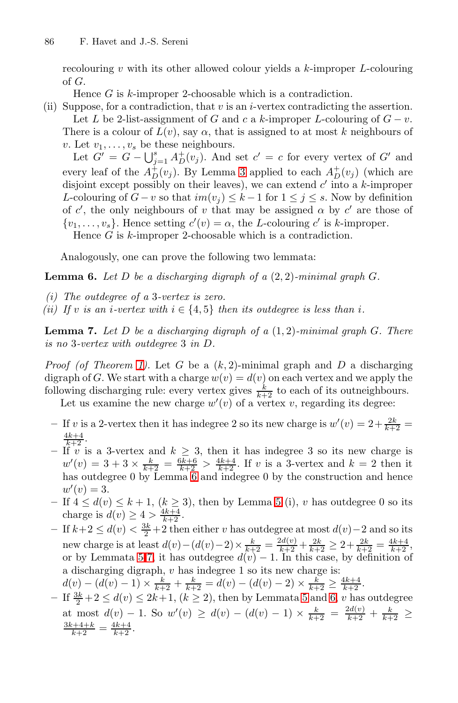recolouring  $v$  with its other allowed colour yields a  $k$ -improper  $L$ -colouring of G.

Hence G is k-improper 2-choosable which is a contradiction.

(ii) Suppose, for a contradiction, that  $v$  is an *i*-vertex contradicting the assertion.

Let L be 2-list-assignment of G and c a k-improper L-colouring of  $G - v$ . There is a colour of  $L(v)$ , say  $\alpha$ , that is assigned to at most k neighbours of v. Let  $v_1, \ldots, v_s$  be these neighbours.

<span id="page-5-0"></span>Let  $G' = G - \bigcup_{j=1}^{s} A_D^+(v_j)$ . And set  $c' = c$  for every vertex of  $G'$  and every leaf of the  $A_D^+(v_j)$ . By Lemma 3 applied to each  $A_D^+(v_j)$  (which are disjoint except possibly on their leaves), we can extend  $c'$  into a k-improper *L*-colouring of  $G - v$  so that  $im(v_j) \leq k - 1$  for  $1 \leq j \leq s$ . Now by definition of c', the only neighbours of v that may be assigned  $\alpha$  by c' are those of  $\{v_1, \ldots, v_s\}$ . Hence setting  $c'(v) = \alpha$ , the L-colouring c' is k-improper. Hence  $G$  is  $k$ -improper 2-choosable which is a contradiction.

Analogously, one can prove the following two lemmata:

<span id="page-5-1"></span>**[Le](#page-2-0)mma 6.** *Let* D *be a discharging digraph of a* (2, 2)*-minimal graph* G*.*

- *(i) The outdegree of a* 3*-vertex is zero.*
- *(ii)* If v is an *i*-vertex with  $i \in \{4, 5\}$  then its outdegree is less than *i*.

**Lemma 7.** *Let* D *be a discharging digraph of a* (1, 2)*-minimal graph* G*. There is no* 3*-vertex with outdegree* 3 *in* D*.*

*Proof (of Theorem 1).* Let G be a  $(k, 2)$ -minimal graph and D a discharging digraph of G. We start with a charge  $w(v) = d(v)$  on each vertex and we apply the following dis[ch](#page-5-0)arging rule: every vertex gives  $\frac{k}{k+2}$  to each of its outneighbours. Let us examine the new ch[ar](#page-4-1)ge  $w'(v)$  of a vertex v, regarding its degree:

- $-$  If v is a 2-vertex then it has indegree 2 so its new charge is  $w'(v) = 2 + \frac{2k}{k+2} =$  $\frac{4k+4}{k+2}$ .
- $-\int_{0}^{k+2} v \text{ is a 3-vertex and } k \geq 3$ , then it has indegree 3 so its new charge is  $w'(v) = 3 + 3 \times \frac{k}{k+2} = \frac{6k+6}{k+2} > \frac{4k+4}{k+2}$  $w'(v) = 3 + 3 \times \frac{k}{k+2} = \frac{6k+6}{k+2} > \frac{4k+4}{k+2}$ . If v is a 3-vertex and  $k = 2$  then it has outdegree 0 by Lemma 6 and indegree 0 by the construction and hence  $w'(v) = 3.$
- **−** If  $4 \le d(v) \le k + 1$ ,  $(k \ge 3)$ , the[n](#page-4-1) by [Le](#page-5-0)mma 5 (i), v has outdegree 0 so its charge is  $d(v) \ge 4 > \frac{4k+4}{k+2}$ .
- **–** If  $k+2 \leq d(v) < \frac{3k}{2}+2$  then either v has outdegree at most  $d(v)$  2 and so its new charge is at least  $d(v) - (d(v) - 2) \times \frac{k}{k+2} = \frac{2d(v)}{k+2} + \frac{2k}{k+2} \geq 2 + \frac{2k}{k+2} = \frac{4k+4}{k+2},$ or by Lemmata 5-7, it has outdegree  $d(v) - 1$ . In this case, by definition of a discharging digraph,  $v$  has indegree 1 so its new charge is:
- $d(v) (d(v) 1) \times \frac{k}{k+2} + \frac{k}{k+2} = d(v) (d(v) 2) \times \frac{k}{k+2} \ge \frac{4k+4}{k+2}.$
- **−** If  $\frac{3k}{2}$  + 2 ≤  $d(v)$  ≤ 2k + 1, (k ≥ 2), then by Lemmata 5 and 6, v has outdegree at most  $d(v) - 1$ . So  $w'(v) \ge d(v) - (d(v) - 1) \times \frac{k}{k+2} = \frac{2d(v)}{k+2} + \frac{k}{k+2} \ge \frac{3k+4+k}{k+2} = \frac{4k+4}{k+2}$ .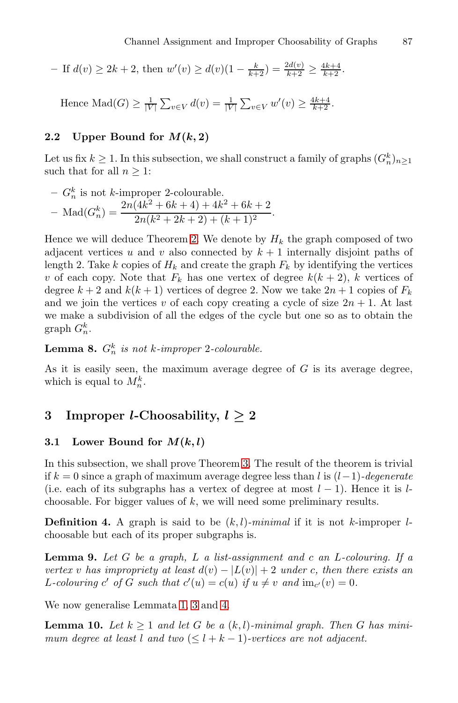Channel Assignment and Improper Choosability of Graphs 87

- If 
$$
d(v) \ge 2k + 2
$$
, then  $w'(v) \ge d(v)(1 - \frac{k}{k+2}) = \frac{2d(v)}{k+2} \ge \frac{4k+4}{k+2}$ .  
\nHence  $\text{Mad}(G) \ge \frac{1}{|V|} \sum_{v \in V} d(v) = \frac{1}{|V|} \sum_{v \in V} w'(v) \ge \frac{4k+4}{k+2}$ .

### **2.2** Upper Bound for  $M(k, 2)$

Let us fix  $k \geq 1$ . In this subsection, we shall construct a family of graphs  $(G_n^k)_{n \geq 1}$ such that for all  $n \geq 1$ :

- 
$$
G_n^k
$$
 is not k-improper 2-colourable.  
\n- Mad $(G_n^k) = \frac{2n(4k^2 + 6k + 4) + 4k^2 + 6k + 2}{2n(k^2 + 2k + 2) + (k + 1)^2}$ .

Hence we will deduce Theorem 2. We denote by  $H_k$  the graph composed of two adjacent vertices u and v also connected by  $k + 1$  internally disjoint paths of length 2. Take k copies of  $H_k$  and create the graph  $F_k$  by identifying the vertices v of each copy. Note that  $F_k$  has one vertex of degree  $k(k+2)$ , k vertices of degree  $k + 2$  and  $k(k + 1)$  vertices of degree 2. Now we take  $2n + 1$  copies of  $F_k$ and we join the vertices v of each copy creating a cycle of size  $2n + 1$ . At last we make a subdivision of all the edges of the cycle but one so as to obtain the graph  $G_n^k$ .

**Lemma 8.**  $G_n^k$  *is not k*-*improper* 2-*colourable.* 

As it is [e](#page-2-1)asily seen, the maximum average degree of  $G$  is its average degree, which is equal to  $M_n^k$ .

## **3 Improper** *l***-Choosability,** *l ≥* **2**

## **3.1** Lower Bound for  $M(k, l)$

In this subsection, we shall prove Theorem 3. The result of the theorem is trivial if k = 0 since a graph of maximum average degree less than l is (l−1)*-degenerate* (i.e. each of its subgraphs has a vertex of degree at most  $l-1$ ). Hence it is lchoosable. For bigger values of  $k$ , we will need some preliminary results.

**Defi[n](#page-3-0)ition [4.](#page-4-0)** A [gra](#page-4-2)ph is said to be  $(k, l)$ *-minimal* if it is not k-improper lchoosable but each of its proper subgraphs is.

**Lemma 9.** *Let* G *be a graph,* L *a list-assignment and* c *an* L*-colouring. If a vertex* v has impropriety at least  $d(v) - |L(v)| + 2$  under c, then there exists an L-colouring c' of G such that  $c'(u) = c(u)$  if  $u \neq v$  and  $\text{im}_{c'}(v) = 0$ .

We now generalise Lemmata 1, 3 and 4.

**Lemma 10.** *Let*  $k \geq 1$  *and let* G *be a*  $(k, l)$ *-minimal graph. Then* G *has minimum degree at least* l *and two*  $(< l + k - 1)$ *-vertices are not adjacent.*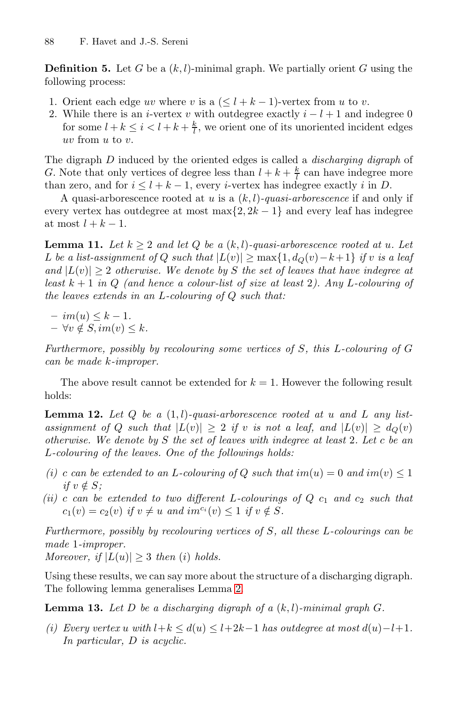**Definition 5.** Let G be a  $(k, l)$ -minimal graph. We partially orient G using the following process:

- 1. Orient each edge uv where v is a  $(\leq l + k 1)$ -vertex from u to v.
- 2. While there is an *i*-vertex v with outdegree exactly  $i l + 1$  and indegree 0 for some  $l + k \leq i < l + k + \frac{k}{l}$ , we orient one of its unoriented incident edges uv from u to v.

The digraph D induced by the oriented edges is called a *discharging digraph* of G. Note that only vertices of degree less than  $l + k + \frac{k}{l}$  can have indegree more than zero, and for  $i \leq l + k - 1$ , every *i*-vertex has indegree exactly *i* in *D*.

A quasi-arborescence rooted at u is a (k,l)*-quasi-arborescence* if and only if every vertex has outdegree at most max $\{2, 2k-1\}$  and every leaf has indegree at most  $l + k - 1$ .

**Lemma 11.** Let  $k > 2$  and let Q be a  $(k, l)$ -quasi-arborescence rooted at u. Let *L be a list-assignment of Q such that*  $|L(v)| \ge \max\{1, d_Q(v) - k + 1\}$  *if* v *is a leaf and*  $|L(v)| \geq 2$  *otherwise. We denote by* S *the set of leaves that have indegree at least* k + 1 *in* Q *(and hence a colour-list of size at least* 2*). Any* L*-colouring of the leaves extends in an* L*-colouring of* Q *such that:*

 $- im(u) \leq k - 1.$  $- \forall v \notin S, im(v) \leq k.$ 

*Furthermore, possibly by recolouring some vertices of* S*, this* L*-colouring of* G *can be made* k*-improper.*

The above result cannot be extended for  $k = 1$ . However the following result holds:

**Lemma 12.** *Let* Q *be a* (1, l)*-quasi-arborescence rooted at* u *and* L *any listassignment of* Q *such that*  $|L(v)| \geq 2$  *if* v *is not a leaf, and*  $|L(v)| \geq d_Q(v)$ *otherwise. We denote by* S *the set of leaves with indegree at least* 2*. Let* c *be an* L*-colouring of the leaves. One of the followings holds:*

- *(i)* c can be extended to an L-colouring of Q such that  $im(u) = 0$  and  $im(v) \leq 1$ *if*  $v \notin S$ *;*
- *(ii)* c can be extended [t](#page-3-1)o two different L-colourings of  $Q$   $c_1$  and  $c_2$  such that  $c_1(v) = c_2(v)$  *if*  $v \neq u$  *and*  $im^{c_i}(v) \leq 1$  *if*  $v \notin S$ *.*

*Furthermore, possibly by recolouring vertices of* S*, all these* L*-colourings can be made* 1*-improper.*

*Moreover, if*  $|L(u)| \geq 3$  *then (i) holds.* 

Using these results, we can say more about the structure of a discharging digraph. The following lemma generalises Lemma 2.

**Lemma 13.** Let  $D$  be a discharging digraph of a  $(k, l)$ -minimal graph  $G$ .

*(i)* Every vertex u with  $l+k \leq d(u) \leq l+2k-1$  has outdegree at most  $d(u)-l+1$ . *In particular,* D *is acyclic.*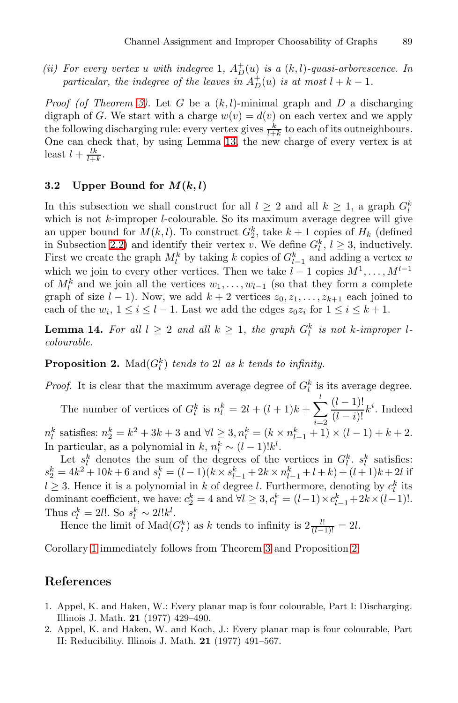*(ii)* For every vertex *u with indegree* 1*,*  $A_D^+(u)$  *is a*  $(k, l)$ -quasi-arborescence. In *particular, the indegree of the leaves in*  $A_D^+(u)$  *is at most*  $l + k - 1$ *.* 

*Proof (of Theorem 3).* Let G be a  $(k, l)$ -minimal graph and D a discharging digraph of G. We start with a charge  $w(v) = d(v)$  on each vertex and we apply the following discharging rule: every vertex gives  $\frac{k}{l+k}$  to each of its outneighbours. One can check that, by using Lemma 13, the new charge of every vertex is at least  $l + \frac{lk}{l+k}$ .

### **3.2** Upper Bound for  $M(k, l)$

<span id="page-8-1"></span>In this subsection we shall construct for all  $l \geq 2$  and all  $k \geq 1$ , a graph  $G_l^k$ which is not  $k$ -improper  $l$ -colourable. So its maximum average degree will give an upper bound for  $M(k, l)$ . To construct  $G_2^k$ , take  $k + 1$  copies of  $H_k$  (defined in Subsection 2.2) and identify their vertex v. We define  $G_l^k$ ,  $l \geq 3$ , inductively. First we create the graph  $M_l^k$  by taking k copies of  $G_{l-1}^k$  and adding a vertex w which we join to every other vertices. Then we take  $l-1$  copies  $M^1, \ldots, M^{l-1}$ of  $M_l^k$  and we join all the vertices  $w_1, \ldots, w_{l-1}$  (so that they form a complete graph of size  $l - 1$ ). Now, we add  $k + 2$  vertices  $z_0, z_1, \ldots, z_{k+1}$  each joined to each of the  $w_i$ ,  $1 \leq i \leq l-1$ . Last we add the edges  $z_0z_i$  for  $1 \leq i \leq k+1$ .

**Lemma 14.** For all  $l \geq 2$  and all  $k \geq 1$ , the graph  $G_l^k$  is not k-improper l*colourable.*

**Proposition 2.** Mad $(G_l^k)$  *tends to* 2l *as* k *tends to infinity.* 

*Proof.* It is clear that the maximum average degree of  $G_l^k$  is its average degree.

The number of vertices of  $G_l^k$  is  $n_l^k = 2l + (l + 1)k + \sum_{i=1}^{l}$ *l i*=2  $\frac{(l-1)!}{(l-i)!}k^i$ . Indeed  $n_l^k$  satisfies:  $n_2^k = k^2 + 3k + 3$  and  $\forall l \ge 3, n_l^k = (k \times n_{l-1}^k + 1) \times (l-1) + k + 2$ . In particular, as a polynomial in  $k, n_l^k \sim (l-1)!k^l$ .

Let  $s_l^k$  denotes the sum [o](#page-2-1)f [th](#page-8-1)e degrees of the vertices in  $G_l^k$ .  $s_l^k$  satisfies:  $s_2^k = 4k^2 + 10k + 6$  and  $s_l^k = (l-1)(k \times s_{l-1}^k + 2k \times n_{l-1}^k + l + k) + (l+1)k + 2l$  if  $l \geq 3$ . Hence it is a polynomial in k of degree l. Furthermore, denoting by  $c_l^k$  its dominant coefficient, we have:  $c_2^k = 4$  and  $\forall l \geq 3, c_l^k = (l-1) \times c_{l-1}^k + 2k \times (l-1)!$ . Thus  $c_l^k = 2l!$ . So  $s_l^k \sim 2l!k^l$ .

Hence the limit of  $\text{Mad}(G_l^k)$  as k tends to infinity is  $2 \frac{l!}{(l-1)!} = 2l$ .

<span id="page-8-0"></span>Corollary 1 immediately follows from Theorem 3 and Proposition 2.

## **References**

- 1. Appel, K. and Haken, W.: Every planar map is four colourable, Part I: Discharging. Illinois J. Math. **21** (1977) 429–490.
- 2. Appel, K. and Haken, W. and Koch, J.: Every planar map is four colourable, Part II: Reducibility. Illinois J. Math. **21** (1977) 491–567.